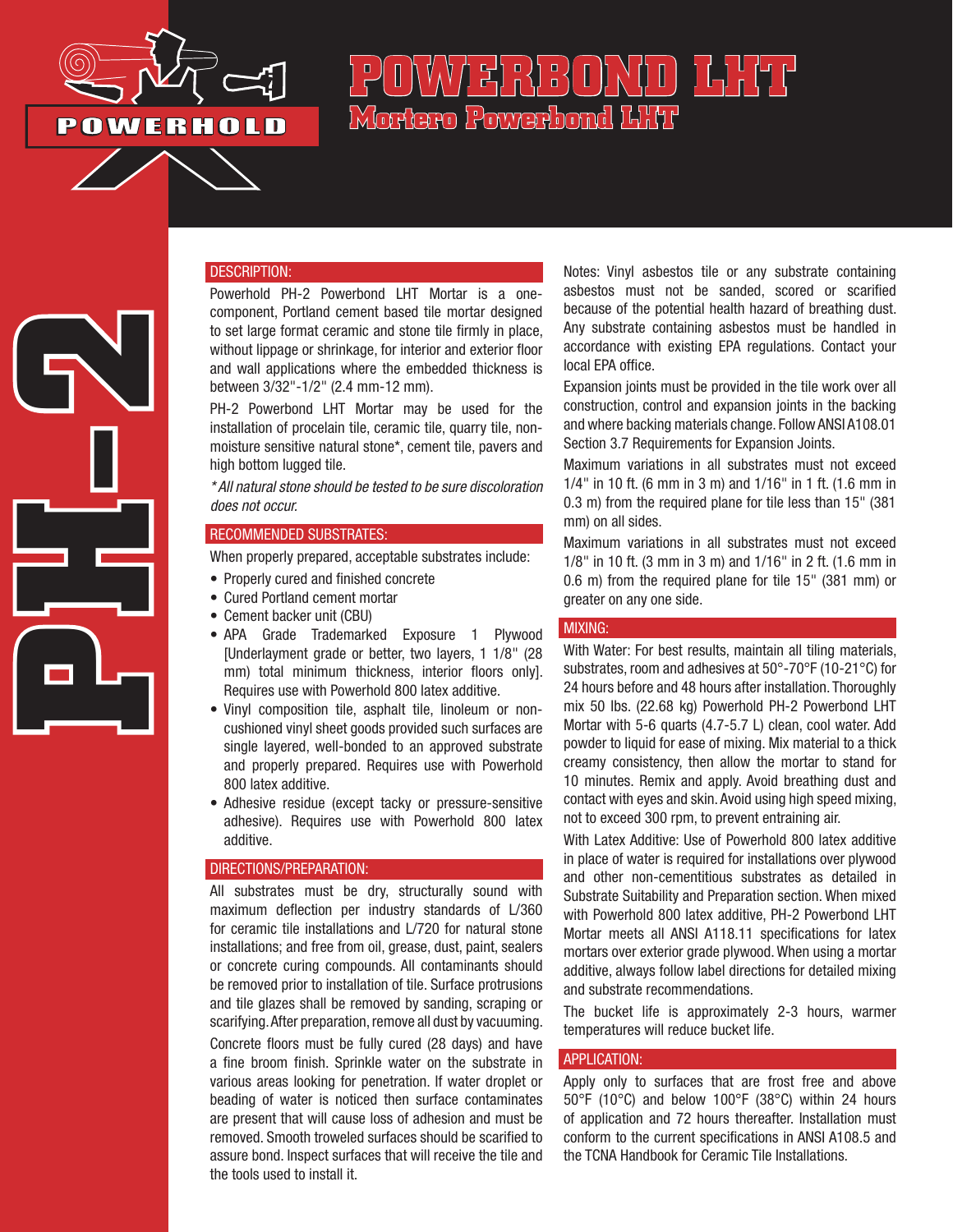

**PH-2**

# POWAZE(D) N¢O) LHT **Mortero Powerbond LHT**

#### DESCRIPTION:

Powerhold PH-2 Powerbond LHT Mortar is a onecomponent, Portland cement based tile mortar designed to set large format ceramic and stone tile firmly in place, without lippage or shrinkage, for interior and exterior floor and wall applications where the embedded thickness is between 3/32"-1/2" (2.4 mm-12 mm).

PH-2 Powerbond LHT Mortar may be used for the installation of procelain tile, ceramic tile, quarry tile, nonmoisture sensitive natural stone\*, cement tile, pavers and high bottom lugged tile.

*\* All natural stone should be tested to be sure discoloration does not occur.*

#### RECOMMENDED SUBSTRATES:

When properly prepared, acceptable substrates include:

- Properly cured and finished concrete
- Cured Portland cement mortar
- Cement backer unit (CBU)
- APA Grade Trademarked Exposure 1 Plywood [Underlayment grade or better, two layers, 1 1/8" (28 mm) total minimum thickness, interior floors only]. Requires use with Powerhold 800 latex additive.
- Vinyl composition tile, asphalt tile, linoleum or noncushioned vinyl sheet goods provided such surfaces are single layered, well-bonded to an approved substrate and properly prepared. Requires use with Powerhold 800 latex additive.
- Adhesive residue (except tacky or pressure-sensitive adhesive). Requires use with Powerhold 800 latex additive.

## DIRECTIONS/PREPARATION:

All substrates must be dry, structurally sound with maximum deflection per industry standards of L/360 for ceramic tile installations and L/720 for natural stone installations; and free from oil, grease, dust, paint, sealers or concrete curing compounds. All contaminants should be removed prior to installation of tile. Surface protrusions and tile glazes shall be removed by sanding, scraping or scarifying. After preparation, remove all dust by vacuuming. Concrete floors must be fully cured (28 days) and have a fine broom finish. Sprinkle water on the substrate in various areas looking for penetration. If water droplet or beading of water is noticed then surface contaminates are present that will cause loss of adhesion and must be removed. Smooth troweled surfaces should be scarified to assure bond. Inspect surfaces that will receive the tile and the tools used to install it.

Notes: Vinyl asbestos tile or any substrate containing asbestos must not be sanded, scored or scarified because of the potential health hazard of breathing dust. Any substrate containing asbestos must be handled in accordance with existing EPA regulations. Contact your local EPA office.

Expansion joints must be provided in the tile work over all construction, control and expansion joints in the backing and where backing materials change. Follow ANSI A108.01 Section 3.7 Requirements for Expansion Joints.

Maximum variations in all substrates must not exceed 1/4" in 10 ft. (6 mm in 3 m) and 1/16" in 1 ft. (1.6 mm in 0.3 m) from the required plane for tile less than 15" (381 mm) on all sides.

Maximum variations in all substrates must not exceed 1/8" in 10 ft. (3 mm in 3 m) and 1/16" in 2 ft. (1.6 mm in 0.6 m) from the required plane for tile 15" (381 mm) or greater on any one side.

#### MIXING:

With Water: For best results, maintain all tiling materials, substrates, room and adhesives at 50°-70°F (10-21°C) for 24 hours before and 48 hours after installation. Thoroughly mix 50 lbs. (22.68 kg) Powerhold PH-2 Powerbond LHT Mortar with 5-6 quarts (4.7-5.7 L) clean, cool water. Add powder to liquid for ease of mixing. Mix material to a thick creamy consistency, then allow the mortar to stand for 10 minutes. Remix and apply. Avoid breathing dust and contact with eyes and skin. Avoid using high speed mixing, not to exceed 300 rpm, to prevent entraining air.

With Latex Additive: Use of Powerhold 800 latex additive in place of water is required for installations over plywood and other non-cementitious substrates as detailed in Substrate Suitability and Preparation section. When mixed with Powerhold 800 latex additive, PH-2 Powerbond LHT Mortar meets all ANSI A118.11 specifications for latex mortars over exterior grade plywood. When using a mortar additive, always follow label directions for detailed mixing and substrate recommendations.

The bucket life is approximately 2-3 hours, warmer temperatures will reduce bucket life.

# APPLICATION:

Apply only to surfaces that are frost free and above 50°F (10°C) and below 100°F (38°C) within 24 hours of application and 72 hours thereafter. Installation must conform to the current specifications in ANSI A108.5 and the TCNA Handbook for Ceramic Tile Installations.